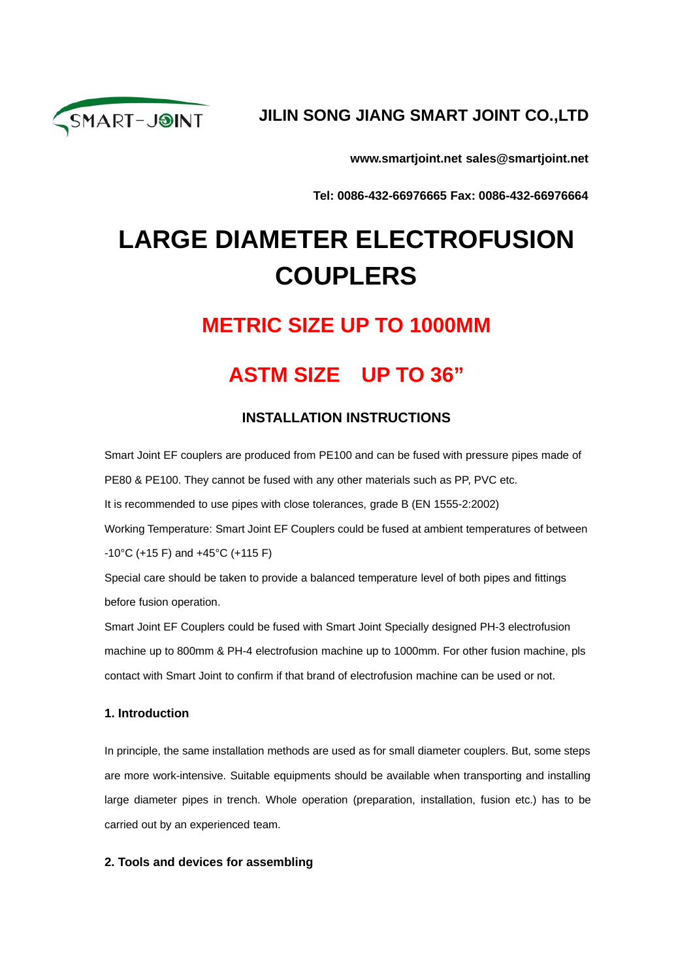

### **JILIN SONG JIANG SMART JOINT CO.,LTD**

**www.smartjoint.net sales@smartjoint.net**

**Tel: 0086-432-66976665 Fax: 0086-432-66976664**

# **LARGE DIAMETER ELECTROFUSION COUPLERS**

### **METRIC SIZE UP TO 1000MM**

## **ASTM SIZE UP TO 36"**

#### **INSTALLATION INSTRUCTIONS**

Smart Joint EF couplers are produced from PE100 and can be fused with pressure pipes made of PE80 & PE100. They cannot be fused with any other materials such as PP, PVC etc.

It is recommended to use pipes with close tolerances, grade B (EN 1555-2:2002)

Working Temperature: Smart Joint EF Couplers could be fused at ambient temperatures of between -10°C (+15 F) and +45°C (+115 F)

Special care should be taken to provide a balanced temperature level of both pipes and fittings before fusion operation.

Smart Joint EF Couplers could be fused with Smart Joint Specially designed PH-3 electrofusion machine up to 800mm & PH-4 electrofusion machine up to 1000mm. For other fusion machine, pls contact with Smart Joint to confirm if that brand of electrofusion machine can be used or not.

#### **1. Introduction**

In principle, the same installation methods are used as for small diameter couplers. But, some steps are more work-intensive. Suitable equipments should be available when transporting and installing large diameter pipes in trench. Whole operation (preparation, installation, fusion etc.) has to be carried out by an experienced team.

#### **2. Tools and devices for assembling**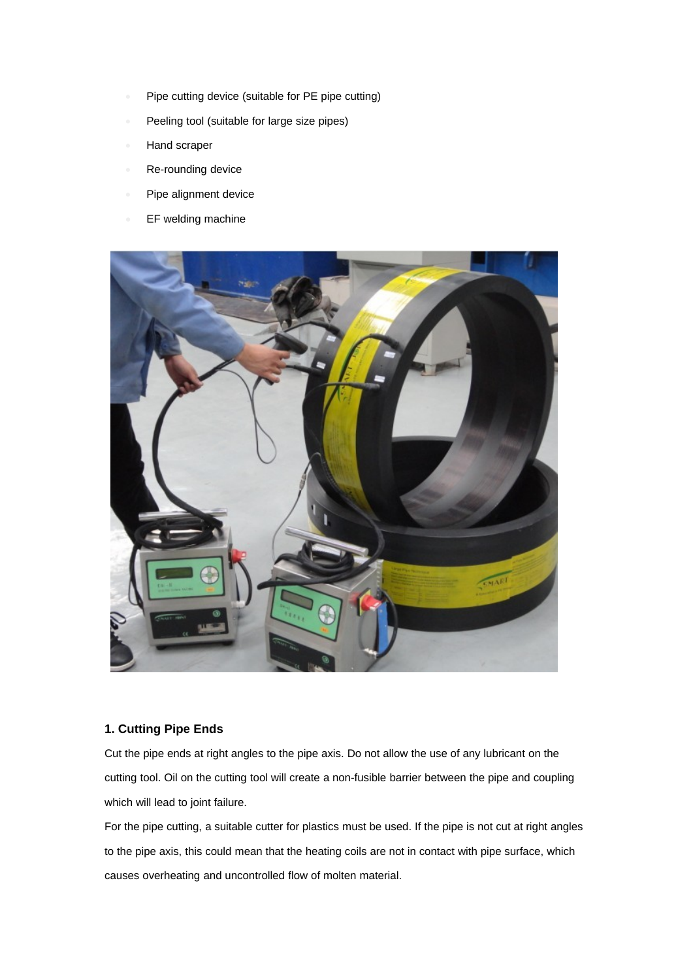- Pipe cutting device (suitable for PE pipe cutting)
- Peeling tool (suitable for large size pipes)
- Hand scraper
- Re-rounding device
- Pipe alignment device
- **EF welding machine**



#### **1. Cutting Pipe Ends**

Cut the pipe ends at right angles to the pipe axis. Do not allow the use of any lubricant on the cutting tool. Oil on the cutting tool will create a non-fusible barrier between the pipe and coupling which will lead to joint failure.

For the pipe cutting, a suitable cutter for plastics must be used. If the pipe is not cut at right angles to the pipe axis, this could mean that the heating coils are not in contact with pipe surface, which causes overheating and uncontrolled flow of molten material.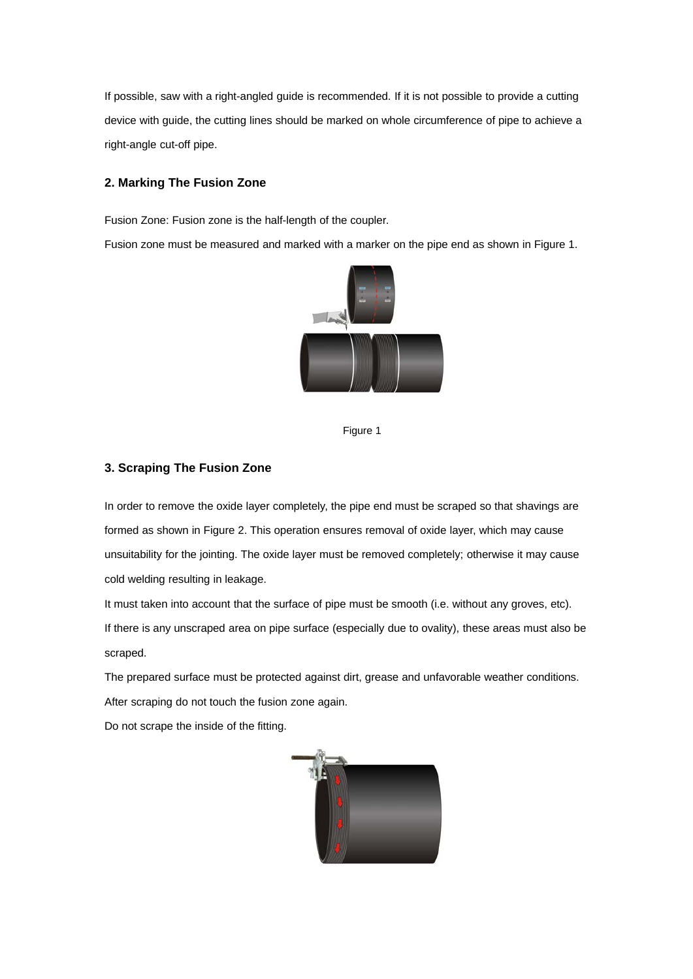If possible, saw with a right-angled guide is recommended. If it is not possible to provide a cutting device with guide, the cutting lines should be marked on whole circumference of pipe to achieve a right-angle cut-off pipe.

#### **2. Marking The Fusion Zone**

Fusion Zone: Fusion zone is the half-length of the coupler.

Fusion zone must be measured and marked with a marker on the pipe end as shown in Figure 1.



Figure 1

#### **3. Scraping The Fusion Zone**

In order to remove the oxide layer completely, the pipe end must be scraped so that shavings are formed as shown in Figure 2. This operation ensures removal of oxide layer, which may cause unsuitability for the jointing. The oxide layer must be removed completely; otherwise it may cause cold welding resulting in leakage.

It must taken into account that the surface of pipe must be smooth (i.e. without any groves, etc). If there is any unscraped area on pipe surface (especially due to ovality), these areas must also be scraped.

The prepared surface must be protected against dirt, grease and unfavorable weather conditions. After scraping do not touch the fusion zone again.

Do not scrape the inside of the fitting.

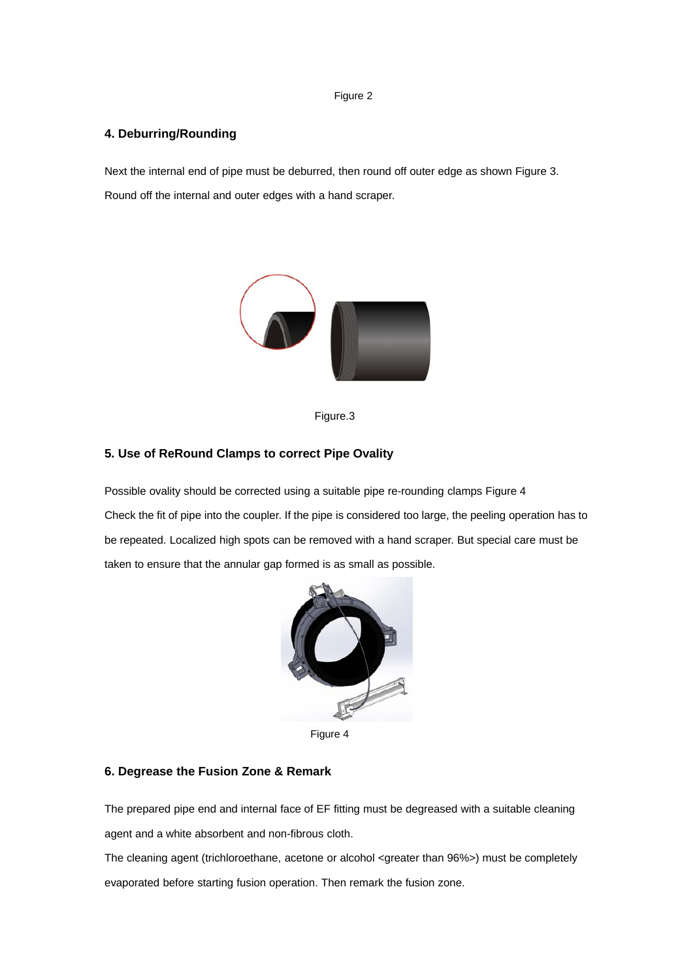#### Figure 2

#### **4. Deburring/Rounding**

Next the internal end of pipe must be deburred, then round off outer edge as shown Figure 3. Round off the internal and outer edges with a hand scraper.





#### **5. Use of ReRound Clamps to correct Pipe Ovality**

Possible ovality should be corrected using a suitable pipe re-rounding clamps Figure 4 Check the fit of pipe into the coupler. If the pipe is considered too large, the peeling operation has to be repeated. Localized high spots can be removed with a hand scraper. But special care must be taken to ensure that the annular gap formed is as small as possible.



Figure 4

#### **6. Degrease the Fusion Zone & Remark**

The prepared pipe end and internal face of EF fitting must be degreased with a suitable cleaning agent and a white absorbent and non-fibrous cloth.

The cleaning agent (trichloroethane, acetone or alcohol <greater than 96%>) must be completely evaporated before starting fusion operation. Then remark the fusion zone.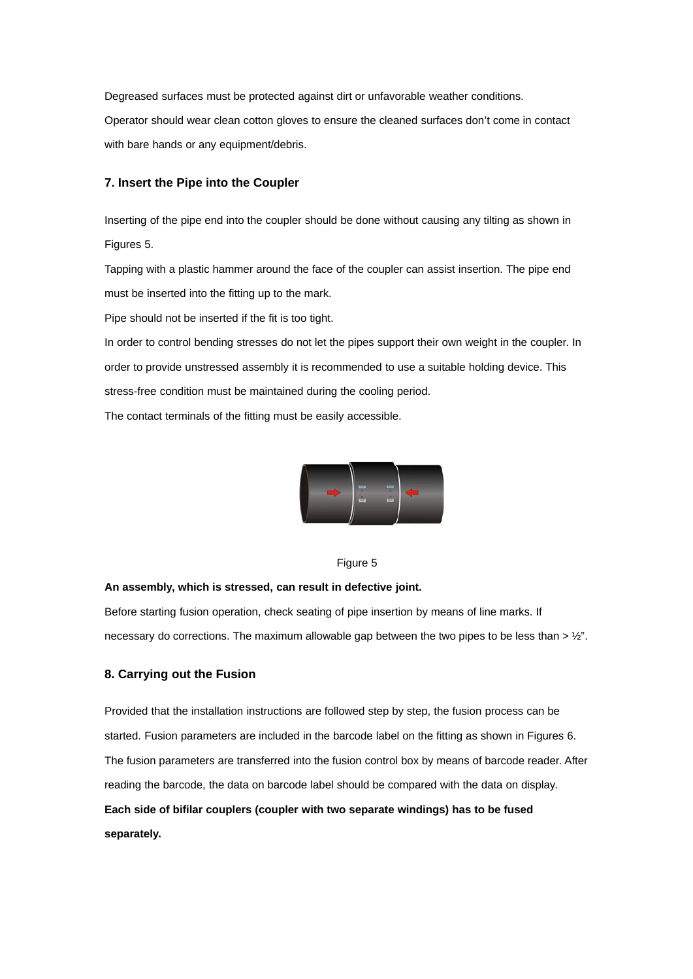Degreased surfaces must be protected against dirt or unfavorable weather conditions. Operator should wear clean cotton gloves to ensure the cleaned surfaces don't come in contact with bare hands or any equipment/debris.

#### **7. Insert the Pipe into the Coupler**

Inserting of the pipe end into the coupler should be done without causing any tilting as shown in Figures 5.

Tapping with a plastic hammer around the face of the coupler can assist insertion. The pipe end must be inserted into the fitting up to the mark.

Pipe should not be inserted if the fit is too tight.

In order to control bending stresses do not let the pipes support their own weight in the coupler. In order to provide unstressed assembly it is recommended to use a suitable holding device. This stress-free condition must be maintained during the cooling period.

The contact terminals of the fitting must be easily accessible.



#### Figure 5

#### **An assembly, which is stressed, can result in defective joint.**

Before starting fusion operation, check seating of pipe insertion by means of line marks. If necessary do corrections. The maximum allowable gap between the two pipes to be less than  $> 1/2$ ".

#### **8. Carrying out the Fusion**

Provided that the installation instructions are followed step by step, the fusion process can be started. Fusion parameters are included in the barcode label on the fitting as shown in Figures 6. The fusion parameters are transferred into the fusion control box by means of barcode reader. After reading the barcode, the data on barcode label should be compared with the data on display. **Each side of bifilar couplers (coupler with two separate windings) has to be fused separately.**